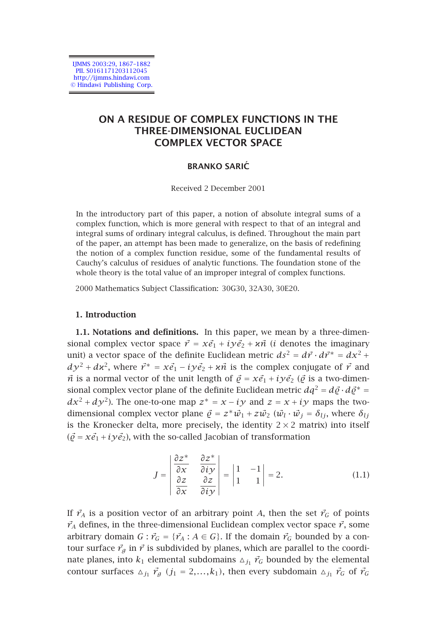IJMMS 2003:29, 1867–1882 PII. S0161171203112045 http://ijmms.hindawi.com © Hindawi Publishing Corp.

# **ON A RESIDUE OF COMPLEX FUNCTIONS IN THE THREE-DIMENSIONAL EUCLIDEAN COMPLEX VECTOR SPACE**

## **BRANKO SARIC´**

Received 2 December 2001

In the introductory part of this paper, a notion of absolute integral sums of a complex function, which is more general with respect to that of an integral and integral sums of ordinary integral calculus, is defined. Throughout the main part of the paper, an attempt has been made to generalize, on the basis of redefining the notion of a complex function residue, some of the fundamental results of Cauchy's calculus of residues of analytic functions. The foundation stone of the whole theory is the total value of an improper integral of complex functions.

2000 Mathematics Subject Classification: 30G30, 32A30, 30E20.

## **1. Introduction**

**1.1. Notations and definitions.** In this paper, we mean by a three-dimensional complex vector space  $\vec{r} = x \vec{e}_1 + i y \vec{e}_2 + x \vec{n}$  (*i* denotes the imaginary unit) a vector space of the definite Euclidean metric  $ds^2 = d\vec{r} \cdot d\vec{r}^* = dx^2 +$  $dy^2 + dx^2$ , where  $\vec{r}^* = x\vec{e}_1 - iy\vec{e}_2 + x\vec{n}$  is the complex conjugate of  $\vec{r}$  and  $\vec{n}$  is a normal vector of the unit length of  $\vec{\varrho} = x\vec{e}_1 + i y \vec{e}_2$  ( $\vec{\varrho}$  is a two-dimensional complex vector plane of the definite Euclidean metric  $dq^2 = d\vec{\varrho} \cdot d\vec{\varrho}^* =$ *dx*<sup>2</sup> + *dy*<sup>2</sup>). The one-to-one map  $z^* = x - iy$  and  $z = x + iy$  maps the twodimensional complex vector plane  $\vec{\rho} = z^* \vec{w}_1 + z \vec{w}_2$  ( $\vec{w}_i \cdot \vec{w}_j = \delta_{ij}$ , where  $\delta_{ij}$ is the Kronecker delta, more precisely, the identity  $2 \times 2$  matrix) into itself  $(\vec{\varrho} = x\vec{e}_1 + i y \vec{e}_2)$ , with the so-called Jacobian of transformation

$$
J = \begin{vmatrix} \frac{\partial z^*}{\partial x} & \frac{\partial z^*}{\partial i y} \\ \frac{\partial z}{\partial x} & \frac{\partial z}{\partial i y} \end{vmatrix} = \begin{vmatrix} 1 & -1 \\ 1 & 1 \end{vmatrix} = 2.
$$
 (1.1)

If  $\vec{r}_A$  is a position vector of an arbitrary point *A*, then the set  $\vec{r}_G$  of points  $\vec{r}_A$  defines, in the three-dimensional Euclidean complex vector space  $\vec{r}$ , some arbitrary domain  $G: \vec{r}_G = {\{\vec{r}_A : A \in G\}}$ . If the domain  $\vec{r}_G$  bounded by a contour surface  $\vec{r}_g$  in  $\vec{r}$  is subdivided by planes, which are parallel to the coordinate planes, into  $k_1$  elemental subdomains  $\Delta_{j_1}$   $\vec{r}_G$  bounded by the elemental contour surfaces  $\Delta_{j_1}$   $\vec{r}_g$   $(j_1 = 2,...,k_1)$ , then every subdomain  $\Delta_{j_1}$   $\vec{r}_G$  of  $\vec{r}_G$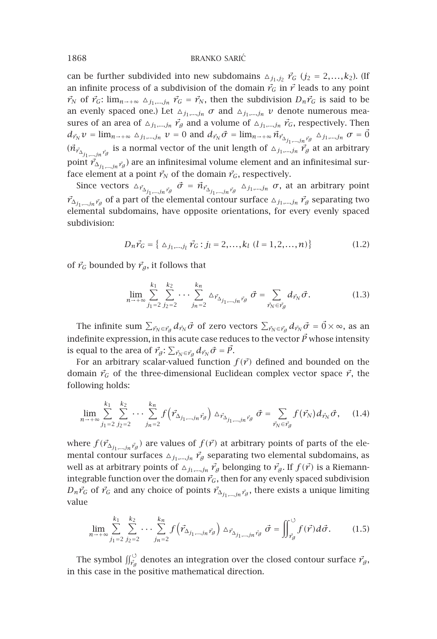can be further subdivided into new subdomains  $\Delta_{j_1,j_2}$   $\vec{r}_G$  ( $j_2 = 2,...,k_2$ ). (If an infinite process of a subdivision of the domain  $\vec{r}_G$  in  $\vec{r}$  leads to any point  $\vec{r}_N$  of  $\vec{r}_G$ :  $\lim_{n\to+\infty} \Delta_{j_1,\dots,j_n}$   $\vec{r}_G = \vec{r}_N$ , then the subdivision  $D_n \vec{r}_G$  is said to be an evenly spaced one.) Let  $\Delta_{j_1,\dots,j_n}$  *σ* and  $\Delta_{j_1,\dots,j_n}$  *v* denote numerous measures of an area of  $\Delta_{j_1,\dots,j_n}$   $\vec{r}_g$  and a volume of  $\Delta_{j_1,\dots,j_n}$   $\vec{r}_G$ , respectively. Then  $d_{\vec{r}_N} v = \lim_{n \to +\infty} \Delta_{j_1,\dots,j_n} v = 0$  and  $d_{\vec{r}_N} \vec{\sigma} = \lim_{n \to +\infty} \vec{n}_{\vec{r}_{\Delta_{j_1,\dots,j_n} \vec{r}_g}} \Delta_{j_1,\dots,j_n} \sigma = \vec{0}$  $(\vec{n}_{\vec{r}_{\Delta_{j_1,\dots,j_n},\vec{r}_g}})$  is a normal vector of the unit length of  $\Delta_{j_1,\dots,j_n}, \vec{r}_g$  at an arbitrary point  $\vec{r}_{\Delta_{j_1,\dots,j_n}\vec{r}_g}$  are an infinitesimal volume element and an infinitesimal surface element at a point  $\vec{r}_N$  of the domain  $\vec{r}_G$ , respectively.

Since vectors  $\Delta_{\vec{r}_{\Delta_{j_1,\dots,j_n}\vec{r}_{g}}}$   $\vec{\sigma} = \vec{n}_{\vec{r}_{\Delta_{j_1,\dots,j_n}\vec{r}_{g}}}$   $\Delta_{j_1,\dots,j_n}$   $\sigma$ , at an arbitrary point  $\vec{r}_{\Delta_{j_1,...,j_n}\vec{r}_{g}}$  of a part of the elemental contour surface  $_{\Delta_{j_1,...,j_n}}\vec{r}_{g}$  separating two elemental subdomains, have opposite orientations, for every evenly spaced subdivision:

$$
D_n \vec{r}_G = \{ \Delta_{j_1,\dots,j_l} \vec{r}_G : j_l = 2,\dots,k_l \ (l = 1,2,\dots,n) \}
$$
 (1.2)

of  $\vec{r}_G$  bounded by  $\vec{r}_g$ , it follows that

$$
\lim_{n \to +\infty} \sum_{j_1=2}^{k_1} \sum_{j_2=2}^{k_2} \cdots \sum_{j_n=2}^{k_n} \Delta_{\vec{r}_{\Delta_{j_1,\dots,j_n},\vec{r}_{\beta}}} \vec{\sigma} = \sum_{\vec{r}_N \in \vec{r}_{\beta}} d_{\vec{r}_N} \vec{\sigma}.
$$
 (1.3)

The infinite sum  $\sum_{\vec{r}_N\in\vec{r}_g}d_{\vec{r}_N}\vec{\sigma}$  of zero vectors  $\sum_{\vec{r}_N\in\vec{r}_g}d_{\vec{r}_N}\vec{\sigma}=\vec{0}\times\infty,$  as an indefinite expression, in this acute case reduces to the vector  $\vec{P}$  whose intensity is equal to the area of  $\vec{r_g}$ :  $\sum_{\vec{r_N} \in \vec{r_g}} d_{\vec{r_N}} \vec{\sigma} = \vec{P}$ .

For an arbitrary scalar-valued function  $f(\vec{r})$  defined and bounded on the domain  $\vec{r}_G$  of the three-dimensional Euclidean complex vector space  $\vec{r}$ , the following holds:

$$
\lim_{n \to +\infty} \sum_{j_1=2}^{k_1} \sum_{j_2=2}^{k_2} \cdots \sum_{j_n=2}^{k_n} f(\vec{r}_{\Delta_{j_1,\dots,j_n},\vec{r}_g}) \Delta_{\vec{r}_{\Delta_{j_1,\dots,j_n},\vec{r}_g}} \vec{\sigma} = \sum_{\vec{r}_N \in \vec{r}_g} f(\vec{r}_N) d_{\vec{r}_N} \vec{\sigma}, \quad (1.4)
$$

where  $f(\vec{r}_{\Delta_{j_1,\dots,j_n},\vec{r}_g})$  are values of  $f(\vec{r})$  at arbitrary points of parts of the elemental contour surfaces  $\Delta_{j_1,\dots,j_n}$   $\vec{r}_g$  separating two elemental subdomains, as well as at arbitrary points of  $\Delta_{j_1,\dots,j_n}$   $\vec{r}_g$  belonging to  $\vec{r}_g$ . If  $f(\vec{r})$  is a Riemannintegrable function over the domain  $\vec{r}_G$ , then for any evenly spaced subdivision  $D_n \vec{r}_G$  of  $\vec{r}_G$  and any choice of points  $\vec{r}_{\Delta_i}$ <sub>*i,,,,,jn*  $\vec{r}_g$ , there exists a unique limiting</sub> value

$$
\lim_{n \to +\infty} \sum_{j_1=2}^{k_1} \sum_{j_2=2}^{k_2} \cdots \sum_{j_n=2}^{k_n} f\left(\vec{r}_{\Delta_{j_1,\dots,j_n}\vec{r}_{g}}\right) \Delta_{\vec{r}_{\Delta_{j_1,\dots,j_n}\vec{r}_{g}}} \vec{\sigma} = \iint_{\vec{r}_{g}}^{\circ} f(\vec{r}) d\vec{\sigma}.
$$
 (1.5)

The symbol  $\iint_{\vec{r}_g}^{\circ}$  denotes an integration over the closed contour surface  $\vec{r}_g$ , in this case in the positive mathematical direction.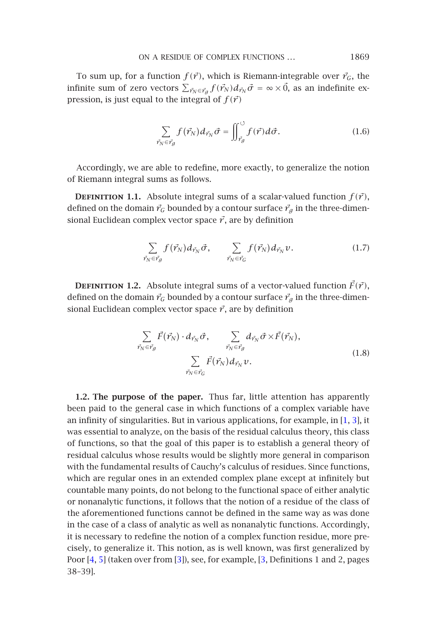#### <span id="page-2-0"></span>ON A RESIDUE OF COMPLEX FUNCTIONS ... 1869

To sum up, for a function  $f(\vec{r})$ , which is Riemann-integrable over  $\vec{r}_G$ , the infinite sum of zero vectors  $\sum_{\vec{r}_N\in\vec{r}_g}f(\vec{r}_N)d_{\vec{r}_N}\vec{\sigma}=\infty\times\vec{0}$ , as an indefinite expression, is just equal to the integral of  $f(\vec{r})$ 

$$
\sum_{\vec{r}_N \in \vec{r}_g} f(\vec{r}_N) d_{\vec{r}_N} \vec{\sigma} = \iint_{\vec{r}_g}^{\circ} f(\vec{r}) d\vec{\sigma}.
$$
 (1.6)

Accordingly, we are able to redefine, more exactly, to generalize the notion of Riemann integral sums as follows.

**DEFINITION 1.1.** Absolute integral sums of a scalar-valued function  $f(\vec{r})$ , defined on the domain  $\vec{r}_G$  bounded by a contour surface  $\vec{r}_g$  in the three-dimensional Euclidean complex vector space  $\vec{r}$ , are by definition

$$
\sum_{\vec{r}_N \in \vec{r}_g} f(\vec{r}_N) d_{\vec{r}_N} \vec{\sigma}, \qquad \sum_{\vec{r}_N \in \vec{r}_G} f(\vec{r}_N) d_{\vec{r}_N} \nu.
$$
 (1.7)

**DEFINITION 1.2.** Absolute integral sums of a vector-valued function  $\vec{F}(\vec{r})$ , defined on the domain  $\vec{r}_G$  bounded by a contour surface  $\vec{r}_g$  in the three-dimensional Euclidean complex vector space  $\vec{r}$ , are by definition

$$
\sum_{\vec{r}_N \in \vec{r}_g} \vec{F}(\vec{r}_N) \cdot d_{\vec{r}_N} \vec{\sigma}, \qquad \sum_{\vec{r}_N \in \vec{r}_g} d_{\vec{r}_N} \vec{\sigma} \times \vec{F}(\vec{r}_N),
$$
\n
$$
\sum_{\vec{r}_N \in \vec{r}_G} \vec{F}(\vec{r}_N) d_{\vec{r}_N} v.
$$
\n(1.8)

**1.2. The purpose of the paper.** Thus far, little attention has apparently been paid to the general case in which functions of a complex variable have an infinity of singularities. But in various applications, for example, in [1, 3], it was essential to analyze, on the basis of the residual calculus theory, this class of functions, so that the goal of this paper is to establish a general theory of resid[ua](#page-15-0)[l c](#page-15-1)alculus whose res[ult](#page-15-2)s would be slightly [m](#page-15-2)ore general in comparison with the fundamental results of Cauchy's calculus of residues. Since functions, which are regular ones in an extended complex plane except at infinitely but countable many points, do not belong to the functional space of either analytic or nonanalytic functions, it follows that the notion of a residue of the class of the aforementioned functions cannot be defined in the same way as was done in the case of a class of analytic as well as nonanalytic functions. Accordingly, it is necessary to redefine the notion of a complex function residue, more precisely, to generalize it. This notion, as is well known, was first generalized by Poor [4, 5] (taken over from [3]), see, for example, [3, Definitions 1 and 2, pages 38–39].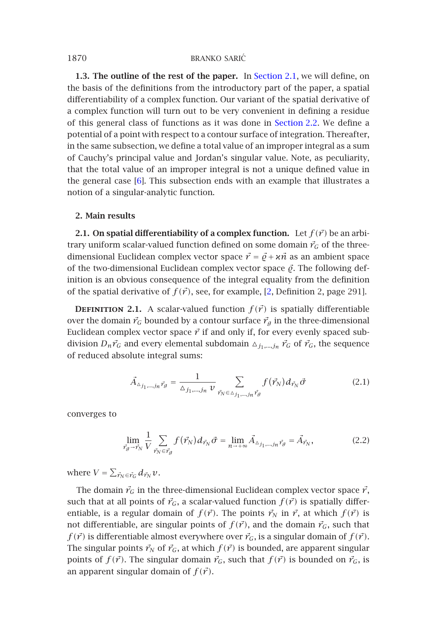**1.3. The outlin[e o](#page-15-3)f the rest of the paper.** In Section 2.1, we will define, on the basis of the definitions from the introductory part of the paper, a spatial differentiability of a complex function. Our variant of the spatial derivative of a complex function will turn out to be very convenient in defining a residue of this general class of functions as it was done in Section 2.2. We define a potential of a point with respect to a contour surface of integration. Thereafter, in the same subsection, we define a total value of an improper integral as a sum of Cauchy's principal value and Jordan's singular value. Note, as peculiarity, that the total value of an improper integral is not a unique defined value in the general case [6]. This subsection ends with an example that illustrates a notion of a singular-analytic function.

### <span id="page-3-1"></span>**2. Main results**

**2.1. On spatial differentiability of a complex function.** Let  $f(\vec{r})$  be an arbitrary uniform scalar-valued function defined on some domain  $\vec{r}_G$  of the threedimensional Euclidean complex vector space  $\vec{r} = \vec{\varrho} + \varkappa \vec{n}$  as an ambient space of the two-dimensional Euclidean complex vector space  $\vec{\varrho}$ . The following definition is an obvious consequence of the integral equality from the definition of the spatial derivative of  $f(\vec{r})$ , see, for example, [2, Definition 2, page 291].

**DEFINITION 2.1.** A scalar-valued function  $f(\vec{r})$  is spatially differentiable over the domain  $\vec{r}_G$  bounded by a contour surface  $\vec{r}_g$  in the three-dimensional Euclidean complex vector space  $\vec{r}$  if and only if, for every evenly spaced subdivision  $D_n \vec{r}_G$  and every elemental subdomain  $\Delta_{j_1,\dots,j_n} \vec{r}_G$  of  $\vec{r}_G$ , the sequence of reduced absolute integral sums:

<span id="page-3-0"></span>
$$
\vec{A}_{\Delta_{j_1,\dots,j_n} \vec{r}_{\beta}} = \frac{1}{\Delta_{j_1,\dots,j_n} v} \sum_{\vec{r}_N \in \Delta_{j_1,\dots,j_n} \vec{r}_{\beta}} f(\vec{r}_N) d_{\vec{r}_N} \vec{\sigma}
$$
(2.1)

converges to

$$
\lim_{\vec{r}_g \to \vec{r}_N} \frac{1}{V} \sum_{\vec{r}_N \in \vec{r}_g} f(\vec{r}_N) d_{\vec{r}_N} \vec{\sigma} = \lim_{n \to +\infty} \vec{A}_{\Delta_{j_1,\dots,j_n} \vec{r}_g} = \vec{A}_{\vec{r}_N},
$$
\n(2.2)

where  $V = \sum_{\vec{r}_N \in \vec{r}_G} d_{\vec{r}_N} v$ .

The domain  $\vec{r}_G$  in the three-dimensional Euclidean complex vector space  $\vec{r}$ , such that at all points of  $\vec{r}_G$ , a scalar-valued function  $f(\vec{r})$  is spatially differentiable, is a regular domain of  $f(\vec{r})$ . The points  $\vec{r}_N$  in  $\vec{r}$ , at which  $f(\vec{r})$  is not differentiable, are singular points of  $f(\vec{r})$ , and the domain  $\vec{r}_G$ , such that  $f(\vec{r})$  is differentiable almost everywhere over  $\vec{r}_G$ , is a singular domain of  $f(\vec{r})$ . The singular points  $\vec{r}_N$  of  $\vec{r}_G$ , at which  $f(\vec{r})$  is bounded, are apparent singular points of  $f(\vec{r})$ . The singular domain  $\vec{r}_G$ , such that  $f(\vec{r})$  is bounded on  $\vec{r}_G$ , is an apparent singular domain of  $f(\vec{r})$ .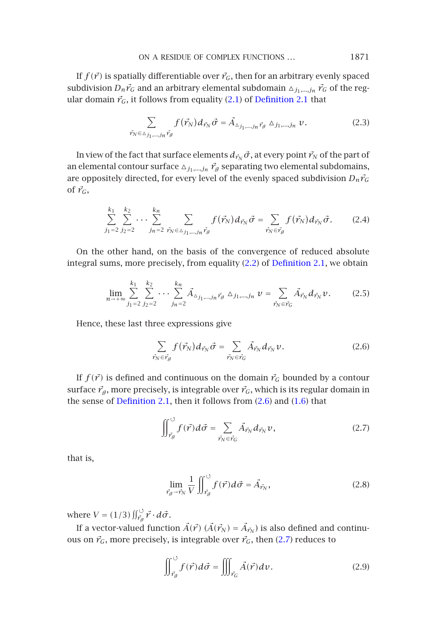ON A RESIDUE OF COMPLEX FUNCTIONS *...* 1871

If  $f(\vec{r})$  is spatially differentiable over  $\vec{r}_G$ , then for an arbitrary evenly spaced subdivision  $D_n \vec{r}_G$  and an arbitrary elemental subdomain  $\Delta_{j_1,\dots,j_n} \vec{r}_G$  of the regular domain  $\vec{r}_G$ , it follows from equality (2.1) of Definition 2.1 that

$$
\sum_{\vec{r}_N \in \Delta_{j_1,\dots,j_n} \vec{r}_g} f(\vec{r}_N) d_{\vec{r}_N} \vec{\sigma} = \vec{A}_{\Delta_{j_1,\dots,j_n} \vec{r}_g} \Delta_{j_1,\dots,j_n} \nu. \tag{2.3}
$$

In view of the fact that surface elements  $d_{\vec{r}_N} \vec{\sigma}$ , at every point  $\vec{r}_N$  of the part of an [elemental](#page-3-1) contour [su](#page-3-1)rface  $_{\Delta j_{1},\dots,j_{n}}$   $\vec{r_{g}}$  separ[atin](#page-3-0)g t[wo](#page-3-1) elemental subdomains, are oppositely directed, for every level of the evenly spaced subdivision  $D_n \vec{r}_G$ of  $\vec{r}_G$ ,

$$
\sum_{j_1=2}^{k_1} \sum_{j_2=2}^{k_2} \cdots \sum_{j_n=2}^{k_n} \sum_{\vec{r}_N \in \Delta_{j_1,\dots,j_n} \vec{r}_{\mathcal{G}}} f(\vec{r}_N) d_{\vec{r}_N} \vec{\sigma} = \sum_{\vec{r}_N \in \vec{r}_{\mathcal{G}}} f(\vec{r}_N) d_{\vec{r}_N} \vec{\sigma}.
$$
 (2.4)

On the other hand, on the basis of the convergence of reduced absolute integral sums, more precisely, from equality (2.2) of Definition 2.1, we obtain

$$
\lim_{n \to +\infty} \sum_{j_1=2}^{k_1} \sum_{j_2=2}^{k_2} \cdots \sum_{j_n=2}^{k_n} \vec{A}_{\Delta_{j_1,\dots,j_n} \vec{r}_{\beta}} \Delta_{j_1,\dots,j_n} \nu = \sum_{\vec{r}_N \in \vec{r}_G} \vec{A}_{\vec{r}_N} d_{\vec{r}_N} \nu.
$$
 (2.5)

Hence, these last three expressions give

<span id="page-4-2"></span><span id="page-4-0"></span>
$$
\sum_{\vec{r}_N \in \vec{r}_g} f(\vec{r}_N) d_{\vec{r}_N} \vec{\sigma} = \sum_{\vec{r}_N \in \vec{r}_G} \vec{A}_{\vec{r}_N} d_{\vec{r}_N} \nu.
$$
\n(2.6)

If  $f(\vec{r})$  is defined and continuous on the domain  $\vec{r}_G$  bounded by a contour surface  $\vec{r}_g$ , more precisely, is integrable over  $\vec{r}_G$ , which is its regular domain in the sense of Definition 2.1, then it follows from (2.6) and (1.6) that

$$
\iint_{\vec{r}_g}^{\circ} f(\vec{r}) d\vec{\sigma} = \sum_{\vec{r}_N \in \vec{r}_G} \vec{A}_{\vec{r}_N} d_{\vec{r}_N} v, \tag{2.7}
$$

that is,

<span id="page-4-1"></span>
$$
\lim_{\vec{r}_g \to \vec{r}_N} \frac{1}{V} \iint_{\vec{r}_g}^{\circ} f(\vec{r}) d\vec{\sigma} = \vec{A}_{\vec{r}_N},
$$
\n(2.8)

where  $V = (1/3) \iint_{\vec{r}_g}^{\circ} \vec{r} \cdot d\vec{\sigma}$ .

If a vector-valued function  $\vec{A}(\vec{r})$  ( $\vec{A}(\vec{r}_N) = \vec{A}_{\vec{r}_N}$ ) is also defined and continuous on  $\vec{r}_G$ , more precisely, is integrable over  $\vec{r}_G$ , then (2.7) reduces to

$$
\iint_{\vec{r}_g}^{\circ} f(\vec{r}) d\vec{\sigma} = \iiint_{\vec{r}_G} \vec{A}(\vec{r}) d\nu.
$$
 (2.9)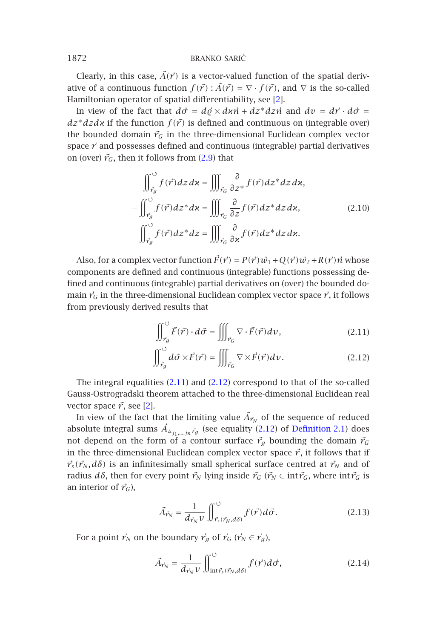Clearly, in this case,  $\vec{A}(\vec{r})$  is a vector-valued function of the spatial derivative of a continuous function  $f(\vec{r})$ :  $\vec{A}(\vec{r}) = \nabla \cdot f(\vec{r})$ , and  $\nabla$  is the so-called Hamiltonian operator of spatial differentiability, see [2].

In view of the fact that  $d\vec{\sigma} = d\vec{\varrho} \times d\vec{x} + dz^* dz \vec{n}$  and  $dv = d\vec{r} \cdot d\vec{\sigma} =$  $dz^*dzdx$  if the function  $f(\vec{r})$  is defined and continuous on (integrable over) the bounded domain  $\vec{r}_G$  in the three-dimensional Euclidean complex vector space  $\vec{r}$  and possesses defined and continuous (integrable) partial derivatives on (over)  $\vec{r}_G$ , then it follows from (2.9) that

<span id="page-5-0"></span>
$$
\iint_{\vec{r}_g}^{\vec{v}} f(\vec{r}) dz d\mathbf{x} = \iiint_{\vec{r}_G} \frac{\partial}{\partial z^*} f(\vec{r}) dz^* dz d\mathbf{x},
$$

$$
-\iint_{\vec{r}_g}^{\vec{v}} f(\vec{r}) dz^* d\mathbf{x} = \iiint_{\vec{r}_G} \frac{\partial}{\partial z} f(\vec{r}) dz^* dz d\mathbf{x},
$$
(2.10)
$$
\iint_{\vec{r}_g}^{\vec{v}} f(\vec{r}) dz^* dz = \iiint_{\vec{r}_G} \frac{\partial}{\partial x} f(\vec{r}) dz^* dz d\mathbf{x}.
$$

Also, for a complex vector function  $\vec{F}(\vec{r}) = P(\vec{r})\vec{w}_1 + Q(\vec{r})\vec{w}_2 + R(\vec{r})\vec{n}$  whose components are defined and continuous (integrable) functions possessing defined and continuous (int[egrabl](#page-5-0)e) pa[rtial](#page-5-1) [d](#page-5-1)erivatives on (over) the bounded domain  $\vec{r}_G$  in the three-dimensional Euclidean complex vector space  $\vec{r}$ , it follows from previously de[riv](#page-15-4)ed results that

<span id="page-5-1"></span>
$$
\iint_{\vec{r}_g}^{\circ} \vec{F}(\vec{r}) \cdot d\vec{\sigma} = \iiint_{\vec{r}_G} \nabla \cdot \vec{F}(\vec{r}) dv,
$$
\n(2.11)

<span id="page-5-2"></span>
$$
\iint_{\vec{r}_g} \mathrm{d}\vec{\sigma} \times \vec{F}(\vec{r}) = \iiint_{\vec{r}_G} \nabla \times \vec{F}(\vec{r}) \mathrm{d}v. \tag{2.12}
$$

The integral equalities (2.11) and (2.12) correspond to that of the so-called Gauss-Ostrogradski theorem attached to the three-dimensional Euclidean real vector space  $\vec{r}$ , see [2].

In view of the fact that the limiting value  $\vec{A}_{\vec{r}_N}$  of the sequence of reduced absolute integral sums  $\vec{A}_{\Delta_{j_1,\dots,j_n},\vec{r}_g}$  (see equality (2.12) of Definition 2.1) does not depend on the form of a contour surface  $\vec{r}_g$  bounding the domain  $\vec{r}_G$ in the three-dimensional Euclidean complex vector space  $\vec{r}$ , it follows that if  $\vec{r}_s(\vec{r}_N, d\delta)$  is an infinitesimally small spherical surface centred at  $\vec{r}_N$  and of radius *d* $\delta$ , then for every point  $\vec{r}_N$  lying inside  $\vec{r}_G$  ( $\vec{r}_N \in \text{int } \vec{r}_G$ , where  $\text{int } \vec{r}_G$  is an interior of  $\vec{r}_G$ ),

$$
\vec{A}_{\vec{r}_N} = \frac{1}{d_{\vec{r}_N} v} \iint_{\vec{r}_S(\vec{r}_N, d\delta)}^{\circ} f(\vec{r}) d\vec{\sigma}.
$$
 (2.13)

For a point  $\vec{r}_N$  on the boundary  $\vec{r}_g$  of  $\vec{r}_G$  ( $\vec{r}_N \in \vec{r}_g$ ),

$$
\vec{A}_{\vec{r}_N} = \frac{1}{d_{\vec{r}_N} v} \iint_{\text{int}\vec{r}_s(\vec{r}_N, d\delta)}^{\circ} f(\vec{r}) d\vec{\sigma}, \tag{2.14}
$$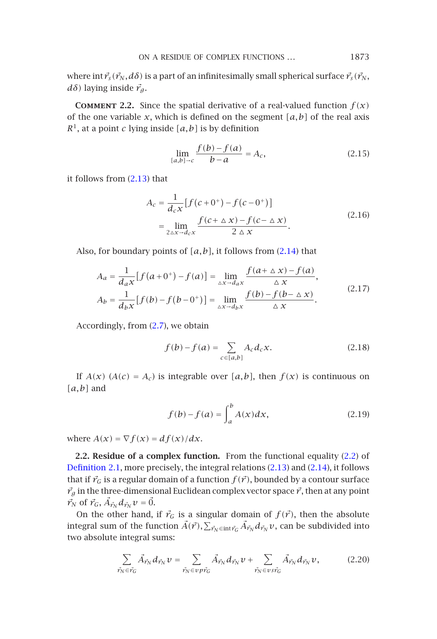ON A RESIDUE OF COMPLEX FUNCTIONS *...* 1873

where  $\int \int r_s(\vec{r}_N, d\delta)$  is a part of an infinitesimally small spherical surface  $\vec{r}_s(\vec{r}_N, \vec{r}_N)$ *dδ*) laying inside  $\vec{r}_g$ .

**COMMENT 2.2.** Since the spatial derivative of a real-valued function  $f(x)$ of the one variable  $x$ , which is defined on the segment  $[a,b]$  of the real axis  $R<sup>1</sup>$ , at a point *c* lying inside [a, b] is by definition

$$
\lim_{[a,b]\to c} \frac{f(b) - f(a)}{b - a} = A_c,
$$
\n(2.15)

it follows from (2.13) that

$$
A_c = \frac{1}{d_c x} [f(c + 0^+) - f(c - 0^+)]
$$
  
= 
$$
\lim_{2 \Delta x \to d_c x} \frac{f(c + \Delta x) - f(c - \Delta x)}{2 \Delta x}.
$$
 (2.16)

Also, for boundary points of *[a,b]*, it follows from (2.14) that

$$
A_{a} = \frac{1}{d_{a}x} [f(a + 0^{+}) - f(a)] = \lim_{\Delta x \to d_{a}x} \frac{f(a + \Delta x) - f(a)}{\Delta x},
$$
  
\n
$$
A_{b} = \frac{1}{d_{b}x} [f(b) - f(b - 0^{+})] = \lim_{\Delta x \to d_{b}x} \frac{f(b) - f(b - \Delta x)}{\Delta x}.
$$
\n(2.17)

Accordingly, from (2.7), we obtain

$$
f(b) - f(a) = \sum_{c \in [a,b]} A_c d_c x.
$$
 (2.18)

<span id="page-6-0"></span>If  $A(x)$  ( $A(c) = A_c$ ) is integrable over [ $a$ , $b$ ], then  $f(x)$  is continuous on *[a,b]* and

$$
f(b) - f(a) = \int_{a}^{b} A(x) dx,
$$
 (2.19)

where  $A(x) = \nabla f(x) = df(x)/dx$ .

**2.2. Residue of a complex function.** From the functional equality (2.2) of Definition 2.1, more precisely, the integral relations (2.13) and (2.14), it follows that if  $\vec{r}_G$  is a regular domain of a function  $f(\vec{r})$ , bounded by a contour surface  $\vec{r}_g$  in the three-dimensional Euclidean complex vector space  $\vec{r}$ , then at any point  $\vec{r}_N$  of  $\vec{r}_G$ ,  $\vec{A}_{\vec{r}_N} d_{\vec{r}_N} v = \vec{0}$ .

On the other hand, if  $\vec{r}_G$  is a singular domain of  $f(\vec{r})$ , then the absolute integral sum of the function  $\vec{A}(\vec{r}), \sum_{\vec{r}_N \in \text{int} \vec{r}_G} \vec{A}_{\vec{r}_N} d_{\vec{r}_N} v$ , can be subdivided into two absolute integral sums:

$$
\sum_{\vec{r}_N \in \vec{r}_G} \vec{A}_{\vec{r}_N} d_{\vec{r}_N} \nu = \sum_{\vec{r}_N \in \nu \, p \vec{r}_G} \vec{A}_{\vec{r}_N} d_{\vec{r}_N} \nu + \sum_{\vec{r}_N \in \nu \, s \vec{r}_G} \vec{A}_{\vec{r}_N} d_{\vec{r}_N} \nu, \tag{2.20}
$$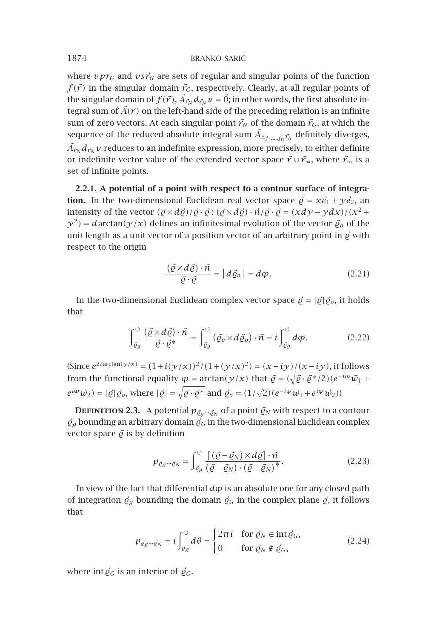## 1874 BRANKO SARIĆ

where  $\nu p \vec{r}_G$  and  $\nu s \vec{r}_G$  are sets of regular and singular points of the function  $f(\vec{r})$  in the singular domain  $\vec{r}_G$ , respectively. Clearly, at all regular points of the singular domain of  $f(\vec{r})$ ,  $\vec{A}_{\vec{r}_N}d_{\vec{r}_N}v = \vec{0}$ ; in other words, the first absolute integral sum of  $\vec{A}(\vec{r})$  on the left-hand side of the preceding relation is an infinite sum of zero vectors. At each singular point  $\vec{r}_N$  of the domain  $\vec{r}_G$ , at which the sequence of the reduced absolute integral sum  $\vec{A}_{\Delta_{j_1,\dots,j_n},\vec{r}_g}$  definitely diverges,  $\vec{A}_{\vec{r}_N}d_{\vec{r}_N}v$  reduces to an indefinite expression, more precisely, to either definite or indefinite vector value of the extended vector space  $\vec{r} \cup \vec{r}_{\infty}$ , where  $\vec{r}_{\infty}$  is a set of infinite points.

**2.2.1. A potential of a point with respect to a contour surface of integration.** In the two-dimensional Euclidean real vector space  $\vec{\varrho} = x\vec{e}_1 + y\vec{e}_2$ , an intensity of the vector  $(\vec{Q} \times d\vec{Q})/\vec{Q} \cdot \vec{Q}$ :  $(\vec{Q} \times d\vec{Q}) \cdot \vec{n}/\vec{Q} \cdot \vec{Q} = (xdy - ydx)/(x^2 +$  $y^2$ ) = *d* arctan( $y/x$ ) defines an infinitesimal evolution of the vector  $\vec{\varrho}_o$  of the unit length as a unit vector of a position vector of an arbitrary point in  $\vec{e}$  with respect to the origin

$$
\frac{(\vec{\varrho} \times d\vec{\varrho}) \cdot \vec{n}}{\vec{\varrho} \cdot \vec{\varrho}} = |d\vec{\varrho}_o| = d\varphi.
$$
 (2.21)

In the two-dimensional Euclidean complex vector space  $\vec{\varrho} = |\vec{\varrho}| \vec{\varrho}_o$ , it holds that

$$
\int_{\tilde{\mathcal{C}}_{g}}^{\circ} \frac{(\vec{\varrho} \times d\vec{\varrho}) \cdot \vec{n}}{\vec{\varrho} \cdot \vec{\varrho}^{*}} = \int_{\tilde{\mathcal{C}}_{g}}^{\circ} (\vec{\varrho}_{o} \times d\vec{\varrho}_{o}) \cdot \vec{n} = i \int_{\tilde{\mathcal{C}}_{g}}^{\circ} d\varphi.
$$
 (2.22)

 $(Since e^{2i\arctan(y/x)} = (1 + i(y/x))^2 / (1 + (y/x)^2) = (x + iy)/(x - iy)$ , it follows from the functional equality  $\varphi = \arctan(\gamma/x)$  that  $\vec{\varrho} = (\sqrt{\vec{\varrho} \cdot \vec{\varrho}^*/2})(e^{-i\varphi}\vec{w_1} + i\varphi)$  $e^{i\varphi}\vec{w}_2$ ) =  $|\vec{\varrho}|\vec{\varrho}_o$ , where  $|\vec{\varrho}| = \sqrt{\vec{\varrho} \cdot \vec{\varrho}^*}$  and  $\vec{\varrho}_o = (1/\sqrt{2})(e^{-i\varphi}\vec{w}_1 + e^{i\varphi}\vec{w}_2)$ 

**DEFINITION 2.3.** A potential  $p_{\vec{\ell}_g \rightarrow \vec{\ell}_N}$  of a point  $\vec{\ell}_N$  with respect to a contour  $\vec{\mathcal{G}}_g$  bounding an arbitrary domain  $\vec{\mathcal{G}}_G$  in the two-dimensional Euclidean complex vector space  $\vec{\rho}$  is by definition

$$
p_{\vec{\varrho}_{\mathcal{G}} \rightarrow \vec{\varrho}_{N}} = \int_{\vec{\varrho}_{\mathcal{G}}}^{\circ} \frac{\left[ (\vec{\varrho} - \vec{\varrho}_{N}) \times d\vec{\varrho} \right] \cdot \vec{n}}{\left( \vec{\varrho} - \vec{\varrho}_{N} \right) \cdot \left( \vec{\varrho} - \vec{\varrho}_{N} \right)^{*}}.
$$
\n(2.23)

In view of the fact that differential  $d\varphi$  is an absolute one for any closed path of integration  $\vec{\varrho}_g$  bounding the domain  $\vec{\varrho}_G$  in the complex plane  $\vec{\varrho}$ , it follows that

$$
p_{\vec{\varrho}_{\mathcal{G}} \to \vec{\varrho}_{N}} = i \int_{\vec{\varrho}_{\mathcal{G}}}^{\circ} d\theta = \begin{cases} 2\pi i & \text{for } \vec{\varrho}_{N} \in \text{int } \vec{\varrho}_{G}, \\ 0 & \text{for } \vec{\varrho}_{N} \notin \vec{\varrho}_{G}, \end{cases} \tag{2.24}
$$

where int  $\vec{\varrho}_G$  is an interior of  $\vec{\varrho}_G$ .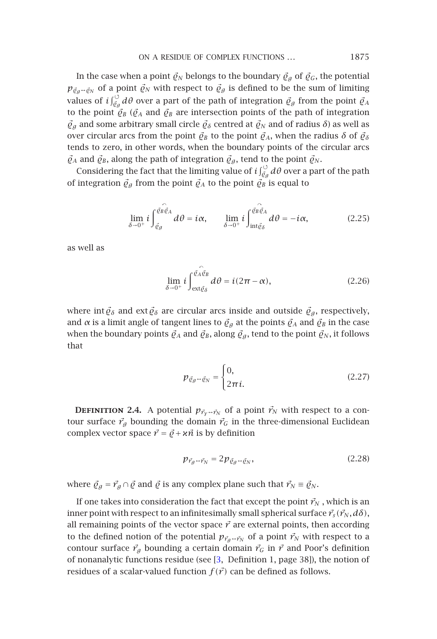ON A RESIDUE OF COMPLEX FUNCTIONS *...* 1875

In the case when a point  $\vec{\varrho}_N$  belongs to the boundary  $\vec{\varrho}_g$  of  $\vec{\varrho}_G$ , the potential  $p_{\tilde{\varrho}_g \to \tilde{\varrho}_N}$  of a point  $\tilde{\varrho}_N$  with respect to  $\tilde{\varrho}_g$  is defined to be the sum of limiting values of  $i\int_{\tilde{\mathcal{C}}_\beta}^\circ d\theta$  over a part of the path of integration  $\tilde{\mathcal{C}}_\beta$  from the point  $\tilde{\mathcal{C}}_A$ to the point  $\vec{\varrho}_B$  ( $\vec{\varrho}_A$  and  $\vec{\varrho}_B$  are intersection points of the path of integration  $\vec{\varrho}_g$  and some arbitrary small circle  $\vec{\varrho}_\delta$  centred at  $\vec{\varrho}_N$  and of radius  $\delta$ ) as well as over circular arcs from the point  $\vec{\varrho}_B$  to the point  $\vec{\varrho}_A$ , when the radius  $\delta$  of  $\vec{\varrho}_\delta$ tends to zero, in other words, when the boundary points of the circular arcs  $\vec{\varrho}_A$  and  $\vec{\varrho}_B$ , along the path of integration  $\vec{\varrho}_A$ , tend to the point  $\vec{\varrho}_N$ .

Considering the fact that the limiting value of  $i\int_{\tilde{\mathcal{C}}_\theta}^{\infty}d\theta$  over a part of the path of integration  $\vec{\varrho}_g$  from the point  $\vec{\varrho}_A$  to the point  $\vec{\varrho}_B$  is equal to

$$
\lim_{\delta \to 0^+} i \int_{\vec{\mathcal{C}}_{\mathcal{G}}}^{\vec{\mathcal{C}}_{\mathcal{B}} \vec{\mathcal{C}}_{A}} d\theta = i\alpha, \qquad \lim_{\delta \to 0^+} i \int_{\text{int}\vec{\mathcal{C}}_{\delta}}^{\vec{\mathcal{C}}_{\mathcal{B}} \vec{\mathcal{C}}_{A}} d\theta = -i\alpha, \tag{2.25}
$$

as well as

$$
\lim_{\delta \to 0^+} i \int_{\text{ext}\vec{\theta}_{\delta}}^{\vec{\theta}_{A}\vec{\theta}_{B}} d\theta = i(2\pi - \alpha), \qquad (2.26)
$$

where int  $\vec{\varrho}_{\delta}$  and ext $\vec{\varrho}_{\delta}$  are circular arcs inside and outside  $\vec{\varrho}_{g}$ , respectively, and  $\alpha$  is a limit angle of tangent lines to  $\mathcal{Q}_q$  at the points  $\mathcal{Q}_A$  and  $\mathcal{Q}_B$  in the case when the boundary points  $\vec{Q}_A$  and  $\vec{Q}_B$ , along  $\vec{Q}_g$ , tend to the point  $\vec{Q}_N$ , it follows that

<span id="page-8-0"></span>
$$
p_{\vec{\varrho}_g \to \vec{\varrho}_N} = \begin{cases} 0, & (2.27) \end{cases}
$$

**DEFINITION 2.4.** A potential  $p_{\vec{r}_y} \rightarrow \vec{r}_N$  of a point  $\vec{r}_N$  with respect to a contour surface  $\vec{r}_g$  bounding the domain  $\vec{r}_G$  in the three-dimensional Euclidean complex vector space  $\vec{r} = \vec{\varrho} + \kappa \vec{n}$  is by definition

$$
p_{\vec{r}_g \to \vec{r}_N} = 2p_{\vec{\varrho}_g \to \vec{\varrho}_N},\tag{2.28}
$$

where  $\vec{\varrho}_g = \vec{r}_g \cap \vec{\varrho}$  and  $\vec{\varrho}$  is any complex plane such that  $\vec{r}_N \equiv \vec{\varrho}_N$ .

If one takes into consideration the fact that except the point  $\vec{r}_N$ , which is an inner point with respect to an infinitesimally small spherical surface  $\vec{r}_s(\vec{r}_N, d\delta)$ , all remaining points of the vector space  $\vec{r}$  are external points, then according to the defined notion of the potential  $p_{\vec{r}_g \rightarrow \vec{r}_N}$  of a point  $\vec{r}_N$  with respect to a contour surface  $\vec{r}_g$  bounding a certain domain  $\vec{r}_G$  in  $\vec{r}$  and Poor's definition of nonanalytic functions residue (see [3, Definition 1, page 38]), the notion of residues of a scalar-valued function  $f(\vec{r})$  can be defined as follows.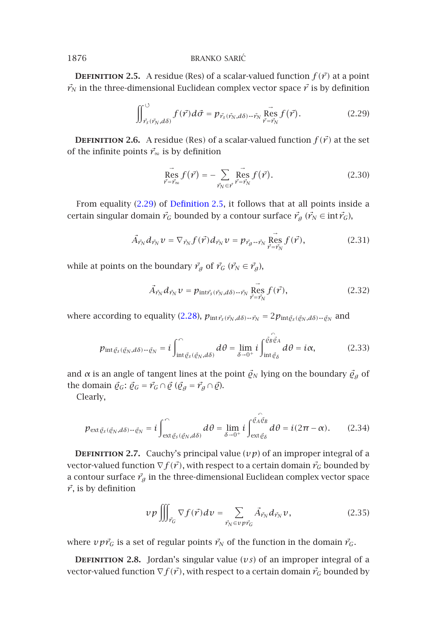**DEFINITION 2.5.** A residue (Res) of a scalar-valued function  $f(\vec{r})$  at a point  $\vec{r}_N$  in the three-dimensional Euclidean complex vector space  $\vec{r}$  is by definition

<span id="page-9-0"></span>
$$
\iint_{\vec{r}_S(\vec{r}_N,d\delta)}^{\circ} f(\vec{r}) d\vec{\sigma} = p_{\vec{r}_S(\vec{r}_N,d\delta) \to \vec{r}_N} \overrightarrow{\underset{\vec{r} = \vec{r}_N}{\text{Res}}} f(\vec{r}). \tag{2.29}
$$

**DEFINITION 2.6.** A residue *(Res)* of a scalar-valued function  $f(\vec{r})$  at the set of the infinite points  $\vec{r}_\infty$  is by definition

$$
\vec{\text{Res}} f(\vec{r}) = -\sum_{\vec{r}_N \in \vec{r}} \vec{\text{Res}} f(\vec{r}).
$$
\n(2.30)

From equality (2.29) of Definition 2.5, it follows that at all points inside a certain singular domain  $\vec{r}_G$  [bound](#page-8-0)ed by a contour surface  $\vec{r}_g$  ( $\vec{r}_N \in \text{int} \vec{r}_G$ ),

$$
\vec{A}_{\vec{r}_N} d_{\vec{r}_N} v = \nabla_{\vec{r}_N} f(\vec{r}) d_{\vec{r}_N} v = p_{\vec{r}_g \to \vec{r}_N} \overrightarrow{\underset{\vec{r} = \vec{r}_N}{\text{Res}}} f(\vec{r}), \tag{2.31}
$$

while at points on the boundary  $\vec{r}_g$  of  $\vec{r}_G$  ( $\vec{r}_N \in \vec{r}_g$ ),

<span id="page-9-1"></span>
$$
\vec{A}_{\vec{r}_N} d_{\vec{r}_N} v = p_{\text{int}\vec{r}_S(\vec{r}_N, d\delta) \to \vec{r}_N} \underset{\vec{r} = \vec{r}_N}{\text{Res}} f(\vec{r}), \qquad (2.32)
$$

<span id="page-9-2"></span>where according to equality (2.28),  $p_{int\vec{r}_s(\vec{r}_N,d\delta)\rightarrow\vec{r}_N} = 2p_{int\vec{g}_s(\vec{g}_N,d\delta)\rightarrow\vec{g}_N}$  and

$$
p_{\text{int}\vec{e}_{s}(\vec{e}_{N},d\delta)-\vec{e}_{N}}=i\int_{\text{int}\vec{e}_{s}(\vec{e}_{N},d\delta)}^{\sim}d\theta=\lim_{\delta\to 0^{+}}i\int_{\text{int}\vec{e}_{\delta}}^{\vec{e}_{B}\vec{e}_{A}}d\theta=i\alpha,
$$
 (2.33)

and  $\alpha$  is an angle of tangent lines at the point  $\vec{\varrho}_N$  lying on the boundary  $\vec{\varrho}_g$  of the domain  $\vec{\varrho}_G$ :  $\vec{\varrho}_G = \vec{r}_G \cap \vec{\varrho}$  ( $\vec{\varrho}_g = \vec{r}_g \cap \vec{\varrho}$ ).

Clearly,

$$
p_{\text{ext}\vec{\varrho}_{s}(\vec{\varrho}_{N},d\delta)-\vec{\varrho}_{N}}=i\int_{\text{ext}\vec{\varrho}_{s}(\vec{\varrho}_{N},d\delta)}^{\cap}d\theta=\lim_{\delta\to 0^{+}}i\int_{\text{ext}\vec{\varrho}_{\delta}}^{\widehat{\varrho}_{A}\vec{\varrho}_{B}}d\theta=i(2\pi-\alpha).
$$
 (2.34)

<span id="page-9-3"></span>**DEFINITION 2.7.** Cauchy's principal value  $(vp)$  of an improper integral of a vector-valued function  $\nabla f(\vec{r})$ , with respect to a certain domain  $\vec{r}_G$  bounded by a contour surface  $\vec{r}_g$  in the three-dimensional Euclidean complex vector space  $\vec{r}$ , is by definition

$$
\nu p \iiint_{\vec{r}_G} \nabla f(\vec{r}) dv = \sum_{\vec{r}_N \in \nu p \vec{r}_G} \vec{A}_{\vec{r}_N} d_{\vec{r}_N} \nu, \qquad (2.35)
$$

where  $\nu p \vec{r}_G$  is a set of regular points  $\vec{r}_N$  of the function in the domain  $\vec{r}_G$ .

**DEFINITION 2.8.** Jordan's singular value  $(vs)$  of an improper integral of a vector-valued function  $\nabla f(\vec{r})$ , with respect to a certain domain  $\vec{r}_G$  bounded by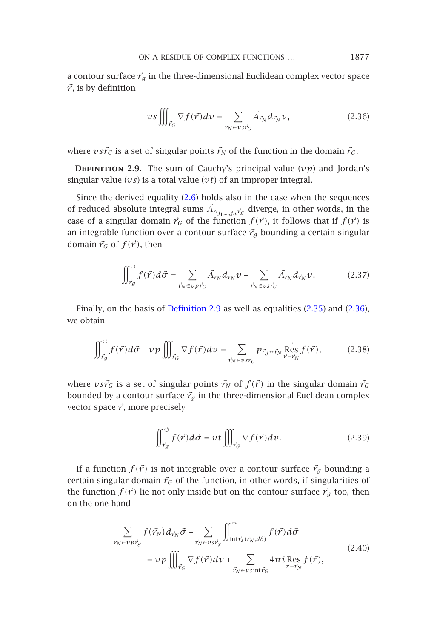<span id="page-10-1"></span>ON A RESIDUE OF COMPLEX FUNCTIONS *...* 1877

<span id="page-10-0"></span>a contour surface  $\vec{r}_g$  in the three-dimensional Euclidean complex vector space  $\vec{r}$ , is by definition

$$
\nu s \iiint_{\vec{r}_G} \nabla f(\vec{r}) dv = \sum_{\vec{r}_N \in \nu s \vec{r}_G} \vec{A}_{\vec{r}_N} d_{\vec{r}_N} \nu, \tag{2.36}
$$

where  $v s r_G^2$  is a set of singular points  $r_N^2$  of the function in the domain  $r_G^2$ .

**DEFINITION 2.9.** The sum of Cauchy's principal value  $(vp)$  and Jordan's singular value (*vs*) is a total value (*vt*) of an improper integral.

Since the derived equality (2.6) holds also in the case when the sequences of reduced absolute inte[gral sums](#page-10-0)  $\vec{A}_{\Delta_{j_1,\dots,j_n},\vec{r}_g}$  diverge, in ot[her wo](#page-9-1)rds, [in the](#page-10-1) case of a singular domain  $\vec{r}_G$  of the function  $f(\vec{r})$ , it follows that if  $f(\vec{r})$  is an integrable function over a contour surface  $\vec{r}_g$  bounding a certain singular domain  $\vec{r}_G$  of  $f(\vec{r})$ , then

$$
\iint_{\vec{r}_g}^{\circ} f(\vec{r}) d\vec{\sigma} = \sum_{\vec{r}_N \in \nu \vec{p} \cdot \vec{r}_G} \vec{A}_{\vec{r}_N} d_{\vec{r}_N} \nu + \sum_{\vec{r}_N \in \nu s \vec{r}_G} \vec{A}_{\vec{r}_N} d_{\vec{r}_N} \nu.
$$
 (2.37)

Finally, on the basis of Definition 2.9 as well as equalities (2.35) and (2.36), we obtain

$$
\iint_{\vec{r}_g}^{\vec{v}} f(\vec{r}) d\vec{\sigma} - v p \iiint_{\vec{r}_G} \nabla f(\vec{r}) dv = \sum_{\vec{r}_N \in v s \vec{r}_G} p_{\vec{r}_g \to \vec{r}_N} \overrightarrow{Res}_{\vec{r} = \vec{r}_N} f(\vec{r}),
$$
(2.38)

where  $v s r_G^2$  is a set of singular points  $r_N^2$  of  $f(r^2)$  in the singular domain  $r_G^2$ bounded by a contour surface  $\vec{r}_g$  in the three-dimensional Euclidean complex vector space  $\vec{r}$ , more precisely

$$
\iint_{\vec{r}_g}^{\circ} f(\vec{r}) d\vec{\sigma} = vt \iiint_{\vec{r}_G} \nabla f(\vec{r}) dv.
$$
 (2.39)

If a function  $f(\vec{r})$  is not integrable over a contour surface  $\vec{r}_g$  bounding a certain singular domain  $\vec{r}_G$  of the function, in other words, if singularities of the function  $f(\vec{r})$  lie not only inside but on the contour surface  $\vec{r}_g$  too, then on the one hand

$$
\sum_{\vec{r}_N \in v \, \vec{p} \cdot \vec{r}_g} f(\vec{r}_N) d_{\vec{r}_N} \vec{\sigma} + \sum_{\vec{r}_N \in v \, \vec{r}_\gamma} \iint_{\text{int}\vec{r}_s(\vec{r}_N, d\delta)} f(\vec{r}) d\vec{\sigma}
$$
\n
$$
= v \, p \iiint_{\vec{r}_G} \nabla f(\vec{r}) dv + \sum_{\vec{r}_N \in v \, \text{sin}\vec{r}_G} 4\pi i \, \text{Res}_{\vec{r} = \vec{r}_N} f(\vec{r}), \tag{2.40}
$$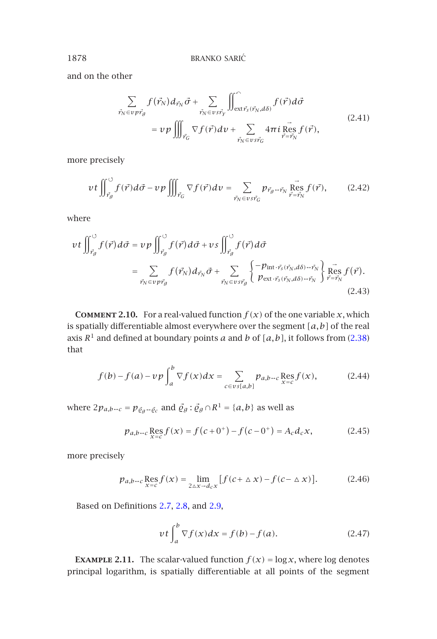and on the other

$$
\sum_{\vec{r}_N \in v \, p\vec{r}_g} f(\vec{r}_N) d_{\vec{r}_N} \vec{\sigma} + \sum_{\vec{r}_N \in v \, s\vec{r}_y} \iint_{\text{ext } \vec{r}_s(\vec{r}_N, d\delta)}^{\widehat{\mathcal{C}}} f(\vec{r}) d\vec{\sigma}
$$
\n
$$
= v \, p \iiint_{\vec{r}_G} \nabla f(\vec{r}) dv + \sum_{\vec{r}_N \in v \, s\vec{r}_G} 4\pi i \mathop{\text{Res}}_{\vec{r} = \vec{r}_N} f(\vec{r}), \tag{2.41}
$$

more precisely

$$
vt \iint_{\vec{r}_g}^{\circ} f(\vec{r}) d\vec{\sigma} - v p \iiint_{\vec{r}_G} \nabla f(\vec{r}) dv = \sum_{\vec{r}_N \in v s \vec{r}_G} p_{\vec{r}_g - \vec{r}_N} \operatorname{Res}_{\vec{r} = \vec{r}_N} f(\vec{r}), \qquad (2.42)
$$

where

$$
vt \iint_{\vec{r}_g}^{\circ} f(\vec{r}) d\vec{\sigma} = v p \iint_{\vec{r}_g}^{\circ} f(\vec{r}) d\vec{\sigma} + vs \iint_{\vec{r}_g}^{\circ} f(\vec{r}) d\vec{\sigma}
$$
  

$$
= \sum_{\vec{r}_N \in v p \vec{r}_g} f(\vec{r}_N) d_{\vec{r}_N} \vec{\sigma} + \sum_{\vec{r}_N \in v s \vec{r}_g} \left\{ \frac{-p_{\text{int}} \cdot \vec{r}_s(\vec{r}_N, d\delta) - \vec{r}_N}{p_{\text{ext}} \cdot \vec{r}_s(\vec{r}_N, d\delta) - \vec{r}_N} \right\} \underset{\vec{r} = \vec{r}_N}{\overset{\sim}{\text{Res}}} f(\vec{r}). \tag{2.43}
$$

**COMMENT 2.10.** For a real-valued function  $f(x)$  of the one variable *x*, which is spatially differentiable almost everywhere over the segment *[a,b]* of the real axis  $R^1$  and defined at boundary points *a* and *b* of  $[a, b]$ , it follows from (2.38) that

$$
f(b) - f(a) - \upsilon p \int_{a}^{b} \nabla f(x) dx = \sum_{c \in \upsilon s[a,b]} p_{a,b \to c} \operatorname{Res}_{x = c} f(x), \tag{2.44}
$$

where  $2p_{a,b\rightarrow c} = p_{\bar{g}_g\rightarrow \bar{g}_c}$  $2p_{a,b\rightarrow c} = p_{\bar{g}_g\rightarrow \bar{g}_c}$  $2p_{a,b\rightarrow c} = p_{\bar{g}_g\rightarrow \bar{g}_c}$  [and](#page-9-2)  $\bar{g}_g : \bar{g}_g \cap R^1 = \{a,b\}$  $\bar{g}_g : \bar{g}_g \cap R^1 = \{a,b\}$  $\bar{g}_g : \bar{g}_g \cap R^1 = \{a,b\}$  as well as

$$
p_{a,b\to c} \mathop{\rm Res}\limits_{x=c} f(x) = f(c+0^+) - f(c-0^+) = A_c d_c x,\tag{2.45}
$$

more precisely

$$
p_{a,b\rightarrow c} \mathop{\mathrm{Res}}\limits_{x=c} f(x) = \lim_{2\Delta x \rightarrow d_c x} \left[ f(c + \Delta x) - f(c - \Delta x) \right].
$$
 (2.46)

Based on Definitions 2.7, 2.8, and 2.9,

$$
vt \int_{a}^{b} \nabla f(x) dx = f(b) - f(a).
$$
 (2.47)

**EXAMPLE 2.11.** The scalar-valued function  $f(x) = \log x$ , where log denotes principal logarithm, is spatially differentiable at all points of the segment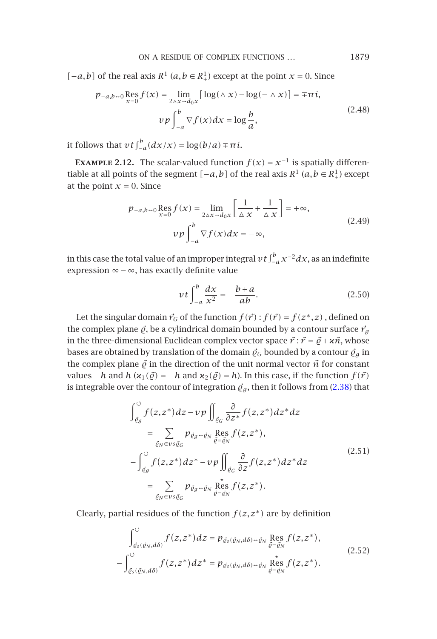ON A RESIDUE OF COMPLEX FUNCTIONS *...* 1879

*[*−*a*,*b*] of the real axis  $R$ <sup>1</sup> (*a*,*b* ∈  $R$ <sup>1</sup><sub>+</sub>) except at the point *x* = 0. Since

$$
p_{-a,b\rightarrow 0} \underset{x=0}{\text{Res}} f(x) = \lim_{2\Delta x \to d_0 x} \left[ \log(\Delta x) - \log(-\Delta x) \right] = \mp \pi i,
$$
  

$$
v p \int_{-a}^{b} \nabla f(x) dx = \log \frac{b}{a},
$$
 (2.48)

it follows that  $vt \int_{-a}^{b} (dx/x) = \log(b/a) \mp \pi i$ .

**EXAMPLE 2.12.** The scalar-valued function  $f(x) = x^{-1}$  is spatially differentiable at all points of the segment  $[-a, b]$  of the real axis  $R^1$   $(a, b \in R^1_+)$  except at the point  $x = 0$ . Since

$$
p_{-a,b-0} \underset{x=0}{\text{Res}} f(x) = \lim_{2\Delta x \to d_0 x} \left[ \frac{1}{\Delta x} + \frac{1}{\Delta x} \right] = +\infty,
$$
  
\n
$$
v p \int_{-a}^{b} \nabla f(x) dx = -\infty,
$$
\n(2.49)

in this case the total value of an improper integral  $v$  t  $\int_{-a}^{b}$   $x^{-2}dx$ , as an indefinite expression ∞−∞, has exactly definite value

$$
vt \int_{-a}^{b} \frac{dx}{x^2} = -\frac{b+a}{ab}.
$$
 (2.50)

Let the singular domain  $\vec{r}_G$  of the function  $f(\vec{r})$  :  $f(\vec{r}) = f(z^*, z)$ , defined on the complex plane  $\vec{\varrho}$ , be a cylindrical domain bounded by a contour surface  $\vec{r}_g$ in the three-dimensional Euclidean complex vector space  $\vec{r}$  :  $\vec{r} = \vec{\varrho} + \varkappa \vec{n}$ , whose bases are obtained by translation of the domain  $\vec{q}_G$  bounded by a contour  $\vec{q}_g$  in the complex plane  $\vec{\varrho}$  in the direction of the unit normal vector  $\vec{n}$  for constant *values −<i>h* and *h* ( $\kappa_1(\vec{\varrho}) = -h$  and  $\kappa_2(\vec{\varrho}) = h$ ). In this case, if the function  $f(\vec{r})$ is integrable over the contour of integration  $\vec{\varrho}_g$  , then it follows from (2.38) that

$$
\int_{\vec{e}_g}^{\infty} f(z, z^*) dz - v p \iint_{\vec{e}_G} \frac{\partial}{\partial z^*} f(z, z^*) dz^* dz
$$
\n
$$
= \sum_{\vec{e}_N \in vs \vec{e}_G} p_{\vec{e}_g \sim \vec{e}_N} \operatorname{Res}_{\vec{e} = \vec{e}_N} f(z, z^*),
$$
\n
$$
- \int_{\vec{e}_g}^{\infty} f(z, z^*) dz^* - v p \iint_{\vec{e}_G} \frac{\partial}{\partial z} f(z, z^*) dz^* dz
$$
\n
$$
= \sum_{\vec{e}_N \in vs \vec{e}_G} p_{\vec{e}_g \sim \vec{e}_N} \operatorname{Res}_{\vec{e} = \vec{e}_N} f(z, z^*).
$$
\n(2.51)

Clearly, partial residues of the function  $f(z, z^*)$  are by definition

$$
\int_{\vec{\varrho}_s(\vec{\varrho}_N,d\delta)}^{\circ} f(z,z^*)dz = p_{\vec{\varrho}_s(\vec{\varrho}_N,d\delta)\hookrightarrow\vec{\varrho}_N} \operatorname{Res}_{\vec{\varrho}=\vec{\varrho}_N} f(z,z^*),
$$
\n
$$
-\int_{\vec{\varrho}_s(\vec{\varrho}_N,d\delta)}^{\circ} f(z,z^*)dz^* = p_{\vec{\varrho}_s(\vec{\varrho}_N,d\delta)\hookrightarrow\vec{\varrho}_N} \operatorname{Res}_{\vec{\varrho}=\vec{\varrho}_N} f(z,z^*).
$$
\n(2.52)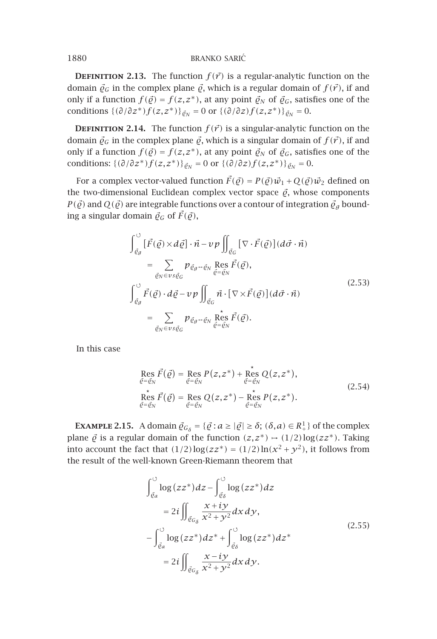1880 BRANKO SARIĆ

**DEFINITION 2.13.** The function  $f(\vec{r})$  is a regular-analytic function on the domain  $\vec{\varrho}_G$  in the complex plane  $\vec{\varrho}$ , which is a regular domain of  $f(\vec{r})$ , if and only if a function  $f(\vec{\varrho}) = f(z, z^*)$ , at any point  $\vec{\varrho}_N$  of  $\vec{\varrho}_G$ , satisfies one of the conditions  $\{(\partial/\partial z^*)f(z,z^*)\}_{\bar{g}_N} = 0$  or  $\{(\partial/\partial z)f(z,z^*)\}_{\bar{g}_N} = 0.$ 

**DEFINITION 2.14.** The function  $f(\vec{r})$  is a singular-analytic function on the domain  $\vec{\varrho}_G$  in the complex plane  $\vec{\varrho}$ , which is a singular domain of  $f(\vec{r})$ , if and only if a function  $f(\vec{q}) = f(z, z^*)$ , at any point  $\vec{q}_N$  of  $\vec{q}_G$ , satisfies one of the conditions:  $\{(\partial/\partial z^*) f(z, z^*)\}_{\partial N} = 0$  or  $\{(\partial/\partial z) f(z, z^*)\}_{\partial N} = 0$ .

For a complex vector-valued function  $\vec{F}(\vec{\varrho}) = P(\vec{\varrho})\vec{w}_1 + Q(\vec{\varrho})\vec{w}_2$  defined on the two-dimensional Euclidean complex vector space  $\vec{\varrho}$ , whose components  $P(\vec{q})$  and  $Q(\vec{q})$  are integrable functions over a contour of integration  $\vec{q}_g$  bounding a singular domain  $\vec{\varrho}_G$  of  $\vec{F}(\vec{\varrho})$ ,

$$
\int_{\vec{\varrho}_{g}}^{\circ} \left[ \vec{F}(\vec{\varrho}) \times d\vec{\varrho} \right] \cdot \vec{n} - \nu p \iint_{\vec{\varrho}_{G}} \left[ \nabla \cdot \vec{F}(\vec{\varrho}) \right] (d\vec{\sigma} \cdot \vec{n})
$$
\n
$$
= \sum_{\vec{\varrho}_{N} \in \nu s \vec{\varrho}_{G}} p_{\vec{\varrho}_{g} \to \vec{\varrho}_{N}} \operatorname{Res}_{\vec{\varrho} = \vec{\varrho}_{N}} \vec{F}(\vec{\varrho}),
$$
\n
$$
\int_{\vec{\varrho}_{g}}^{\circ} \vec{F}(\vec{\varrho}) \cdot d\vec{\varrho} - \nu p \iint_{\vec{\varrho}_{G}} \vec{n} \cdot \left[ \nabla \times \vec{F}(\vec{\varrho}) \right] (d\vec{\sigma} \cdot \vec{n})
$$
\n
$$
= \sum_{\vec{\varrho}_{N} \in \nu s \vec{\varrho}_{G}} p_{\vec{\varrho}_{g} \to \vec{\varrho}_{N}} \operatorname{Res}_{\vec{\varrho} = \vec{\varrho}_{N}} \vec{F}(\vec{\varrho}).
$$
\n(2.53)

In this case

Res 
$$
\vec{F}(\vec{\varrho}) = \text{Res}_{\vec{\varrho} = \vec{\varrho}_N} P(z, z^*) + \text{Res}_{\vec{\varrho} = \vec{\varrho}_N} Q(z, z^*),
$$
  
\nRes  $\vec{F}(\vec{\varrho}) = \text{Res}_{\vec{\varrho} = \vec{\varrho}_N} Q(z, z^*) - \text{Res}_{\vec{\varrho} = \vec{\varrho}_N} P(z, z^*).$  (2.54)

**EXAMPLE 2.15.** A domain  $\vec{\varrho}_{G_{\delta}} = {\vec{\varrho} : a \ge |\vec{\varrho}| \ge \delta}; (\delta, a) \in R^1_+}$  of the complex plane  $\vec{\varrho}$  is a regular domain of the function  $(z, z^*) \mapsto (1/2) \log(zz^*)$ . Taking into account the fact that  $(1/2)\log(zz^*) = (1/2)\ln(x^2 + y^2)$ , it follows from the result of the well-known Green-Riemann theorem that

$$
\int_{\vec{\varrho}_a}^{\infty} \log(zz^*) dz - \int_{\vec{\varrho}_\delta}^{\infty} \log(zz^*) dz
$$
  
\n
$$
= 2i \iint_{\vec{\varrho}_a} \frac{x + iy}{x^2 + y^2} dx dy,
$$
  
\n
$$
- \int_{\vec{\varrho}_a}^{\infty} \log(zz^*) dz^* + \int_{\vec{\varrho}_\delta}^{\infty} \log(zz^*) dz^*
$$
  
\n
$$
= 2i \iint_{\vec{\varrho}_{G_\delta}} \frac{x - iy}{x^2 + y^2} dx dy.
$$
\n(2.55)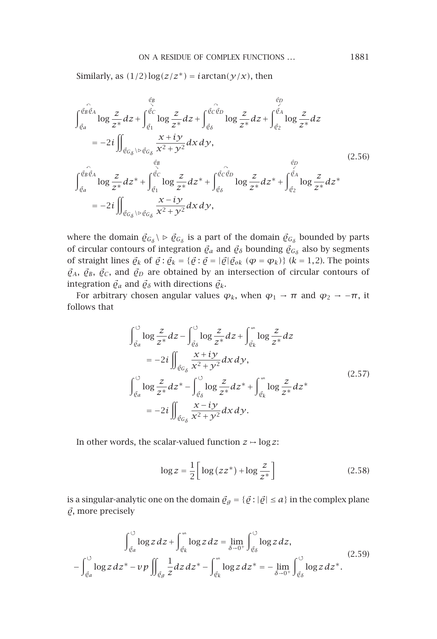Similarly, as  $(1/2)$ log $(z/z^*)$  = *i* arctan $(y/x)$ , then

$$
\int_{\vec{\varrho}_{a}}^{\vec{\varrho}_{B}\vec{\varrho}_{A}} \log \frac{z}{z^{*}} dz + \int_{\vec{\varrho}_{1}}^{\vec{\varrho}_{C}} \log \frac{z}{z^{*}} dz + \int_{\vec{\varrho}_{\delta}}^{\vec{\varrho}_{C}} \log \frac{z}{z^{*}} dz + \int_{\vec{\varrho}_{2}}^{\vec{\varrho}_{A}} \log \frac{z}{z^{*}} dz
$$
\n
$$
= -2i \iint_{\vec{\varrho}_{G_{\delta}} \backslash \rhd \vec{\varrho}_{G_{\delta}}} \frac{x + iy}{x^{2} + y^{2}} dx dy, \qquad (2.56)
$$
\n
$$
\int_{\vec{\varrho}_{a}}^{\vec{\varrho}_{B}\vec{\varrho}_{A}} \log \frac{z}{z^{*}} dz^{*} + \int_{\vec{\varrho}_{1}}^{\vec{\varrho}_{C}} \log \frac{z}{z^{*}} dz^{*} + \int_{\vec{\varrho}_{\delta}}^{\vec{\varrho}_{C}\vec{\varrho}_{D}} \log \frac{z}{z^{*}} dz^{*} + \int_{\vec{\varrho}_{2}}^{\vec{\varrho}_{A}} \log \frac{z}{z^{*}} dz^{*}
$$
\n
$$
= -2i \iint_{\vec{\varrho}_{G_{\delta}} \backslash \rhd \vec{\varrho}_{G_{\delta}}} \frac{x - iy}{x^{2} + y^{2}} dx dy, \qquad (2.54)
$$

where the domain  $\vec{\varrho}_{G_{\delta}} \setminus \rho \vec{\varrho}_{G_{\delta}}$  is a part of the domain  $\vec{\varrho}_{G_{\delta}}$  bounded by parts of circular contours of integration  $\vec{\varrho}_a$  and  $\vec{\varrho}_\delta$  bounding  $\vec{\varrho}_{G_\delta}$  also by segments of straight lines  $\vec{Q}_k$  of  $\vec{Q}$ :  $\vec{Q}_k = {\{\vec{Q} : \vec{Q} = |\vec{Q}| \vec{Q}_{ok} \ (\varphi = \varphi_k)\}}$  ( $k = 1, 2$ ). The points  $\vec{Q}_A$ ,  $\vec{Q}_B$ ,  $\vec{Q}_C$ , and  $\vec{Q}_D$  are obtained by an intersection of circular contours of integration  $\vec{\varrho}_a$  and  $\vec{\varrho}_\delta$  with directions  $\vec{\varrho}_k$ .

For arbitrary chosen angular values  $\varphi_k$ , when  $\varphi_1 \rightarrow \pi$  and  $\varphi_2 \rightarrow -\pi$ , it follows that

$$
\int_{\vec{\varrho}_a}^{\infty} \log \frac{z}{z^*} dz - \int_{\vec{\varrho}_\delta}^{\infty} \log \frac{z}{z^*} dz + \int_{\vec{\varrho}_k}^{\infty} \log \frac{z}{z^*} dz
$$
  
\n
$$
= -2i \iint_{\vec{\varrho}_G} \frac{x + iy}{x^2 + y^2} dx dy,
$$
  
\n
$$
\int_{\vec{\varrho}_a}^{\infty} \log \frac{z}{z^*} dz^* - \int_{\vec{\varrho}_\delta}^{\infty} \log \frac{z}{z^*} dz^* + \int_{\vec{\varrho}_k}^{\infty} \log \frac{z}{z^*} dz^*
$$
  
\n
$$
= -2i \iint_{\vec{\varrho}_G} \frac{x - iy}{x^2 + y^2} dx dy.
$$
\n(2.57)

In other words, the scalar-valued function  $z \mapsto \log z$ :

$$
\log z = \frac{1}{2} \left[ \log \left( z z^* \right) + \log \frac{z}{z^*} \right] \tag{2.58}
$$

is a singular-analytic one on the domain  $\vec{\varrho}_g = {\vec{g} : |\vec{\varrho}| \le a}$  in the complex plane  $\vec{\varrho}$ , more precisely

$$
\int_{\vec{\varrho}_a}^{\infty} \log z \, dz + \int_{\vec{\varrho}_k}^{\infty} \log z \, dz = \lim_{\delta \to 0^+} \int_{\vec{\varrho}_\delta}^{\infty} \log z \, dz,
$$
\n
$$
- \int_{\vec{\varrho}_a}^{\infty} \log z \, dz^* - v \, p \iint_{\vec{\varrho}_g} \frac{1}{z} dz \, dz^* - \int_{\vec{\varrho}_k}^{\infty} \log z \, dz^* = - \lim_{\delta \to 0^+} \int_{\vec{\varrho}_\delta}^{\infty} \log z \, dz^*.
$$
\n(2.59)